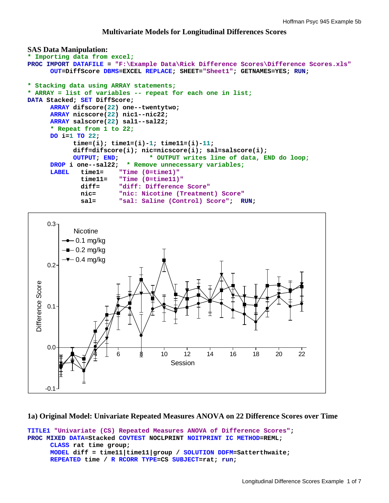# **Multivariate Models for Longitudinal Differences Scores**

```
SAS Data Manipulation: 
* Importing data from excel;
PROC IMPORT DATAFILE = "F:\Example Data\Rick Difference Scores\Difference Scores.xls" 
      OUT=DiffScore DBMS=EXCEL REPLACE; SHEET="Sheet1"; GETNAMES=YES; RUN; 
* Stacking data using ARRAY statements;
* ARRAY = list of variables -- repeat for each one in list; 
DATA Stacked; SET DiffScore; 
      ARRAY difscore(22) one--twentytwo; 
      ARRAY nicscore(22) nic1--nic22; 
      ARRAY salscore(22) sal1--sal22; 
      * Repeat from 1 to 22;
      DO i=1 TO 22; 
             time=(i); time1=(i)-1; time11=(i)-11; 
             diff=difscore(i); nic=nicscore(i); sal=salscore(i); 
             OUTPUT; END; * OUTPUT writes line of data, END do loop;
      DROP i one--sal22; * Remove unnecessary variables;
      LABEL time1= "Time (0=time1)"
               time11= "Time (0=time11)"
               diff= "diff: Difference Score"
               nic= "nic: Nicotine (Treatment) Score"
              sal= "sal: Saline (Control) Score"; RUN;
     0.3 -Nicotine
          -0.1 mg/kg
         -0.2 mg/kg
          -0.4 mg/kg
     0.2 -Difference Score
  Difference Score0.1
```
# **1a) Original Model: Univariate Repeated Measures ANOVA on 22 Difference Scores over Time**

● 12 14 16 18 20 22

Session

```
TITLE1 "Univariate (CS) Repeated Measures ANOVA of Difference Scores"; 
PROC MIXED DATA=Stacked COVTEST NOCLPRINT NOITPRINT IC METHOD=REML; 
      CLASS rat time group; 
      MODEL diff = time11|time11|group / SOLUTION DDFM=Satterthwaite; 
      REPEATED time / R RCORR TYPE=CS SUBJECT=rat; run;
```
-0.1

0.0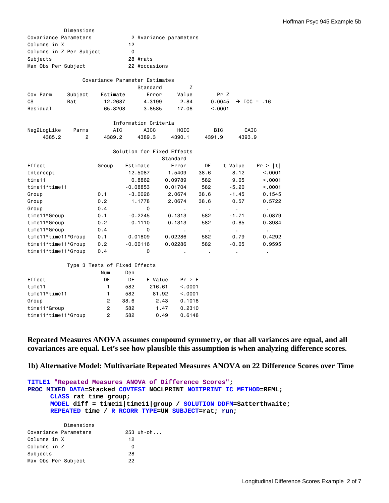|                          | Dimensions     |            |                                |                            |                  |         |                         |
|--------------------------|----------------|------------|--------------------------------|----------------------------|------------------|---------|-------------------------|
| Covariance Parameters    |                |            |                                | 2 #variance parameters     |                  |         |                         |
| Columns in X             |                |            | 12                             |                            |                  |         |                         |
| Columns in Z Per Subject |                |            | $\Omega$                       |                            |                  |         |                         |
| Subjects                 |                |            | 28 #rats                       |                            |                  |         |                         |
| Max Obs Per Subject      |                |            | 22 #occasions                  |                            |                  |         |                         |
|                          |                |            |                                |                            |                  |         |                         |
|                          |                |            | Covariance Parameter Estimates |                            |                  |         |                         |
|                          |                |            | Standard                       | Z                          |                  |         |                         |
| Cov Parm                 | Subject        | Estimate   | Error                          | Value                      | Pr Z             |         |                         |
| <b>CS</b>                | Rat            | 12,2687    | 4,3199                         | 2.84                       | 0.0045           |         | $\rightarrow$ ICC = .16 |
| Residual                 |                | 65.8208    | 3.8585                         | 17.06                      | < .0001          |         |                         |
|                          |                |            | Information Criteria           |                            |                  |         |                         |
| Neg2LogLike              | Parms          | <b>AIC</b> | AICC                           | HQIC                       | <b>BIC</b>       |         | CAIC                    |
| 4385.2                   | $\overline{2}$ | 4389.2     | 4389.3                         | 4390.1                     | 4391.9           | 4393.9  |                         |
|                          |                |            |                                |                            |                  |         |                         |
|                          |                |            |                                | Solution for Fixed Effects |                  |         |                         |
|                          |                |            |                                | Standard                   |                  |         |                         |
| Effect                   |                | Group      | Estimate                       | Error                      | <b>DF</b>        | t Value | Pr >  t                 |
| Intercept                |                |            | 12,5087                        | 1.5409                     | 38.6             | 8.12    | < .0001                 |
| time11                   |                |            | 0.8862                         | 0.09789                    | 582              | 9.05    | < 0.001                 |
| time11*time11            |                |            | $-0.08853$                     | 0.01704                    | 582              | $-5.20$ | < .0001                 |
| Group                    |                | 0.1        | $-3,0026$                      | 2.0674                     | 38.6             | $-1.45$ | 0.1545                  |
| Group                    |                | 0.2        | 1.1778                         | 2,0674                     | 38.6             | 0.57    | 0.5722                  |
| Group                    |                | 0.4        | $\mathbf 0$                    |                            | $\sim$           | ä,      | $\blacksquare$          |
| time11*Group             |                | 0.1        | $-0.2245$                      | 0.1313                     | 582              | $-1.71$ | 0.0879                  |
| time11*Group             |                | 0.2        | $-0.1110$                      | 0.1313                     | 582              | $-0.85$ | 0.3984                  |
| time11*Group             |                | 0.4        | 0                              | $\bullet$                  | $\sim$ 100 $\pm$ | $\sim$  | $\sim$                  |
| time11*time11*Group      |                | 0.1        | 0.01809                        | 0.02286                    | 582              | 0.79    | 0.4292                  |
| time11*time11*Group      |                | 0.2        | $-0.00116$                     | 0.02286                    | 582              | $-0.05$ | 0.9595                  |
| time11*time11*Group      |                | 0.4        | $\mathbf 0$                    | $\blacksquare$             | ٠                | ٠       | $\blacksquare$          |
|                          |                |            |                                |                            |                  |         |                         |

# Type 3 Tests of Fixed Effects

|                     | Num | Den  |         |         |
|---------------------|-----|------|---------|---------|
| Effect              | DF  | DF   | F Value | Pr > F  |
| time11              |     | 582  | 216.61  | < 0.001 |
| time11*time11       |     | 582  | 81.92   | < 0.001 |
| Group               | 2   | 38.6 | 2.43    | 0.1018  |
| time11*Group        | 2   | 582  | 1.47    | 0.2310  |
| time11*time11*Group | 2   | 582  | 0.49    | 0.6148  |

**Repeated Measures ANOVA assumes compound symmetry, or that all variances are equal, and all covariances are equal. Let's see how plausible this assumption is when analyzing difference scores.** 

**1b) Alternative Model: Multivariate Repeated Measures ANOVA on 22 Difference Scores over Time** 

**TITLE1 "Repeated Measures ANOVA of Difference Scores"; PROC MIXED DATA=Stacked COVTEST NOCLPRINT NOITPRINT IC METHOD=REML; CLASS rat time group; MODEL diff = time11|time11|group / SOLUTION DDFM=Satterthwaite; REPEATED time / R RCORR TYPE=UN SUBJECT=rat; run;** 

| Dimensions            |             |
|-----------------------|-------------|
| Covariance Parameters | $253$ uh-oh |
| Columns in X          | 12          |
| Columns in Z          |             |
| Subjects              | 28          |
| Max Obs Per Subject   | 22          |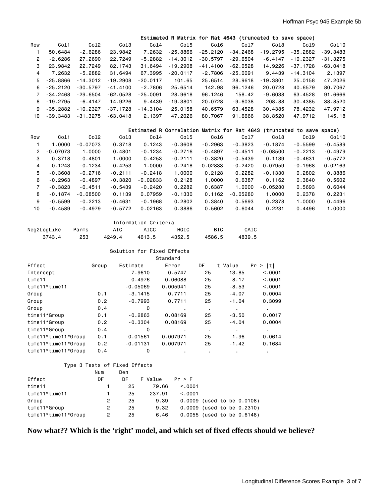|                |            |            |            |            |            |            | Estimated R Matrix for Rat 4643 (truncated to save space) |            |            |            |
|----------------|------------|------------|------------|------------|------------|------------|-----------------------------------------------------------|------------|------------|------------|
| Row            | Col1       | Co12       | Co13       | Co14       | Co15       | Co16       | Co17                                                      | Col8       | Col9       | Col10      |
|                | 50.6484    | $-2.6286$  | 23.9842    | 7.2632     | $-25.8866$ | $-25.2120$ | $-34.2468$                                                | $-19.2795$ | $-35.2882$ | -39.3483   |
| $\overline{2}$ | $-2.6286$  | 27.2690    | 22.7249    | $-5.2882$  | $-14.3012$ | $-30.5797$ | $-29.6504$                                                | $-6.4147$  | $-10.2327$ | $-31.3275$ |
| 3              | 23.9842    | 22.7249    | 82.1743    | 31.6494    | $-19.2908$ | $-41.4100$ | $-62.0528$                                                | 14.9226    | $-37.1728$ | $-63.0418$ |
| 4              | 7.2632     | $-5.2882$  | 31.6494    | 67.3995    | $-20.0117$ | $-2.7806$  | $-25.0091$                                                | 9.4439     | $-14.3104$ | 2.1397     |
| 5              | $-25.8866$ | $-14.3012$ | $-19.2908$ | $-20.0117$ | 101.65     | 25.6514    | 28,9618                                                   | $-19.3801$ | 25.0158    | 47.2026    |
| 6              | $-25.2120$ | $-30.5797$ | $-41.4100$ | $-2.7806$  | 25.6514    | 142.98     | 96.1246                                                   | 20.0728    | 40.6579    | 80.7067    |
|                | $-34.2468$ | $-29.6504$ | $-62.0528$ | $-25.0091$ | 28,9618    | 96.1246    | 158.42                                                    | $-9.6038$  | 63.4528    | 91.6666    |
| 8              | $-19.2795$ | $-6.4147$  | 14.9226    | 9.4439     | $-19.3801$ | 20.0728    | $-9.6038$                                                 | 208.88     | 30.4385    | 38.8520    |
| 9              | $-35.2882$ | $-10.2327$ | $-37.1728$ | $-14.3104$ | 25.0158    | 40.6579    | 63.4528                                                   | 30.4385    | 78.4232    | 47.9712    |
| 10             | $-39.3483$ | $-31.3275$ | $-63.0418$ | 2.1397     | 47.2026    | 80.7067    | 91.6666                                                   | 38.8520    | 47.9712    | 145.18     |

|                |            |            |           |            |           |            | Estimated R Correlation Matrix for Rat 4643 (truncated to save space) |            |           |           |
|----------------|------------|------------|-----------|------------|-----------|------------|-----------------------------------------------------------------------|------------|-----------|-----------|
| Row            | Col1       | Col2       | Col3      | Co14       | Col5      | Col6       | Co17                                                                  | Co18       | Col9      | Col10     |
|                | 1.0000     | $-0.07073$ | 0.3718    | 0.1243     | $-0.3608$ | $-0.2963$  | $-0.3823$                                                             | $-0.1874$  | $-0.5599$ | $-0.4589$ |
| 2              | $-0.07073$ | 1.0000     | 0.4801    | $-0.1234$  | $-0.2716$ | $-0.4897$  | $-0.4511$                                                             | $-0.08500$ | $-0.2213$ | $-0.4979$ |
| 3              | 0.3718     | 0.4801     | 1.0000    | 0.4253     | $-0.2111$ | $-0.3820$  | $-0.5439$                                                             | 0.1139     | $-0.4631$ | $-0.5772$ |
| 4              | 0.1243     | $-0.1234$  | 0.4253    | 1.0000     | $-0.2418$ | $-0.02833$ | $-0.2420$                                                             | 0.07959    | $-0.1968$ | 0.02163   |
| 5              | $-0.3608$  | $-0.2716$  | $-0.2111$ | $-0.2418$  | 1.0000    | 0.2128     | 0.2282                                                                | $-0.1330$  | 0.2802    | 0.3886    |
| 6              | $-0.2963$  | $-0.4897$  | $-0.3820$ | $-0.02833$ | 0.2128    | 1.0000     | 0.6387                                                                | 0.1162     | 0.3840    | 0.5602    |
| $\overline{7}$ | $-0.3823$  | $-0.4511$  | $-0.5439$ | $-0.2420$  | 0.2282    | 0.6387     | 1.0000                                                                | $-0.05280$ | 0.5693    | 0.6044    |
| 8              | $-0.1874$  | $-0.08500$ | 0.1139    | 0.07959    | $-0.1330$ | 0.1162     | $-0.05280$                                                            | 1.0000     | 0.2378    | 0.2231    |
| 9              | $-0.5599$  | $-0.2213$  | $-0.4631$ | $-0.1968$  | 0.2802    | 0.3840     | 0.5693                                                                | 0.2378     | 1.0000    | 0.4496    |
| 10             | $-0.4589$  | $-0.4979$  | $-0.5772$ | 0.02163    | 0.3886    | 0.5602     | 0.6044                                                                | 0.2231     | 0.4496    | 1,0000    |
|                |            |            |           |            |           |            |                                                                       |            |           |           |

| Information Criteria |       |        |        |        |            |        |  |  |  |  |  |
|----------------------|-------|--------|--------|--------|------------|--------|--|--|--|--|--|
| Neg2LogLike          | Parms | AIC    | ATCC.  | HQTC.  | <b>BIC</b> | CAIC   |  |  |  |  |  |
| 3743.4               | 253   | 4249.4 | 4613.5 | 4352.5 | 4586.5     | 4839.5 |  |  |  |  |  |

| Solution for Fixed Effects |       |            |          |    |                |          |  |  |  |  |  |
|----------------------------|-------|------------|----------|----|----------------|----------|--|--|--|--|--|
| Standard                   |       |            |          |    |                |          |  |  |  |  |  |
| Effect                     | Group | Estimate   | Error    | DF | t Value        | Pr >  t  |  |  |  |  |  |
| Intercept                  |       | 7.9610     | 0.5747   | 25 | 13.85          | < 0.001  |  |  |  |  |  |
| time11                     |       | 0.4976     | 0.06088  | 25 | 8.17           | < 0.0001 |  |  |  |  |  |
| time11*time11              |       | $-0.05069$ | 0.005941 | 25 | $-8.53$        | < 0.0001 |  |  |  |  |  |
| Group                      | 0.1   | $-3.1415$  | 0.7711   | 25 | $-4.07$        | 0.0004   |  |  |  |  |  |
| Group                      | 0.2   | $-0.7993$  | 0.7711   | 25 | $-1.04$        | 0.3099   |  |  |  |  |  |
| Group                      | 0.4   | 0          |          | ٠  | ٠.             |          |  |  |  |  |  |
| time11*Group               | 0.1   | $-0.2863$  | 0.08169  | 25 | $-3.50$        | 0.0017   |  |  |  |  |  |
| time11*Group               | 0.2   | $-0.3304$  | 0.08169  | 25 | $-4.04$        | 0.0004   |  |  |  |  |  |
| time11*Group               | 0.4   | 0          | ٠        | ٠  | $\blacksquare$ |          |  |  |  |  |  |
| time11*time11*Group        | 0.1   | 0.01561    | 0.007971 | 25 | 1.96           | 0.0614   |  |  |  |  |  |
| time11*time11*Group        | 0.2   | $-0.01131$ | 0.007971 | 25 | $-1.42$        | 0.1684   |  |  |  |  |  |
| time11*time11*Group        | 0.4   | 0          | ٠        | ٠  | ٠              |          |  |  |  |  |  |

# Type 3 Tests of Fixed Effects

|                     | Num | Den |         |         |                            |
|---------------------|-----|-----|---------|---------|----------------------------|
| Effect              | DF  | DF  | F Value | Pr > F  |                            |
| time11              |     | 25  | 79.66   | < 0.001 |                            |
| time11*time11       |     | 25  | 237.91  | < 0.001 |                            |
| Group               | 2   | 25  | 9.39    |         | 0.0009 (used to be 0.0108) |
| time11*Group        | 2   | 25  | 9.32    |         | 0.0009 (used to be 0.2310) |
| time11*time11*Group | 2   | 25  | 6.46    |         | 0.0055 (used to be 0.6148) |

# **Now what?? Which is the 'right' model, and which set of fixed effects should we believe?**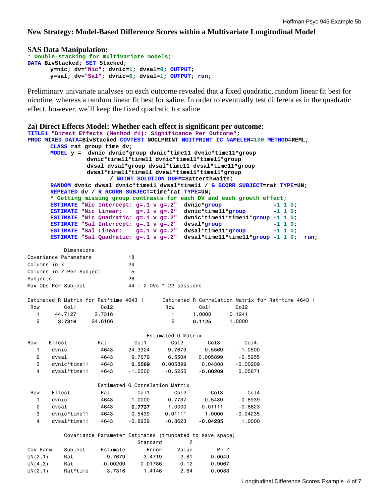**New Strategy: Model-Based Difference Scores within a Multivariate Longitudinal Model** 

```
SAS Data Manipulation:
```

```
* Double-stacking for multivariate models;
DATA BivStacked; SET Stacked; 
       y=nic; dv="Nic"; dvnic=1; dvsal=0; OUTPUT; 
       y=sal; dv="Sal"; dvnic=0; dvsal=1; OUTPUT; run;
```
Preliminary univariate analyses on each outcome revealed that a fixed quadratic, random linear fit best for nicotine, whereas a random linear fit best for saline. In order to eventually test differences in the quadratic effect, however, we'll keep the fixed quadratic for saline.

```
2a) Direct Effects Model: Whether each effect is significant per outcome: 
TITLE1 "Direct Effects (Method #1): Significance Per Outcome"; 
PROC MIXED DATA=BivStacked COVTEST NOCLPRINT NOITPRINT IC NAMELEN=100 METHOD=REML; 
     CLASS rat group time dv; 
     MODEL y = dvnic dvnic*group dvnic*time11 dvnic*time11*group 
                dvnic*time11*time11 dvnic*time11*time11*group 
                dvsal dvsal*group dvsal*time11 dvsal*time11*group 
                dvsal*time11*time11 dvsal*time11*time11*group 
                     / NOINT SOLUTION DDFM=Satterthwaite; 
     RANDOM dvnic dvsal dvnic*time11 dvsal*time11 / G GCORR SUBJECT=rat TYPE=UN; 
     REPEATED dv / R RCORR SUBJECT=time*rat TYPE=UN; 
      * Getting missing group contrasts for each DV and each growth effect;
      ESTIMATE "Nic Intercept: g=.1 v g=.2" dvnic*group -1 1 0; 
      ESTIMATE "Nic Linear: g=.1 v g=.2" dvnic*time11*group -1 1 0; 
      ESTIMATE "Nic Quadratic: g=.1 v g=.2" dvnic*time11*time11*group -1 1 0; 
      ESTIMATE "Sal Intercept: g=.1 v g=.2" dvsal*group -1 1 0; 
     ESTIMATE "Sal Intercept: g=.1 v g=.2" dvsal*group -1 1 0;<br>
ESTIMATE "Sal Linear: g=.1 v g=.2" dvsal*time11*group -1 1 0;
     ESTIMATE "Sal Quadratic: g=.1 v g=.2" dvsal*time11*time11*group -1 1 0; run; 
          Dimensions 
Covariance Parameters 18 
Columns in X 24
Columns in Z Per Subject 5
Subjects 28
Max Obs Per Subject 44 = 2 DVs * 22 sessions
Estimated R Matrix for Rat*time 4643 1 
 Row Col1 Col2 
   1 44.7127 3.7316 
   2 3.7316 24.6166 
                                Estimated R Correlation Matrix for Rat*time 4643 1 
                                  Row Col1 Col2 
                                    1 1.0000 0.1241 
                                     2 0.1125 1.0000 
     Estimated G Matrix 
Row Effect Rat Col1 Col2 Col3 Col4 
 1 dvnic 4643 24.3324 9.7679 0.5569 -1.0500 
   2 dvsal 4643 9.7679 6.5504 0.005899 -0.5255 
   3 dvnic*time11 4643 0.5569 0.005899 0.04308 -0.00209 
   4 dvsal*time11 4643 -1.0500 -0.5255 -0.00209 0.05671 
 Estimated G Correlation Matrix 
 Row Effect Rat Col1 Col2 Col3 Col4 
 1 dvnic 4643 1.0000 0.7737 0.5439 -0.8939 
   2 dvsal 4643 0.7737 1.0000 0.01111 -0.8623 
   3 dvnic*time11 4643 0.5439 0.01111 1.0000 -0.04235 
   4 dvsal*time11 4643 -0.8939 -0.8623 -0.04235 1.0000 
          Covariance Parameter Estimates (truncated to save space) 
                       Standard Z 
Cov Parm Subject Estimate Error Value Pr Z 
UN(2,1) Rat 9.7679 3.4719 2.81 0.0049 
UN(4,3) Rat -0.00209 0.01786 -0.12 0.9067
```
UN(2,1) Rat\*time 3.7316 1.4146 2.64 0.0083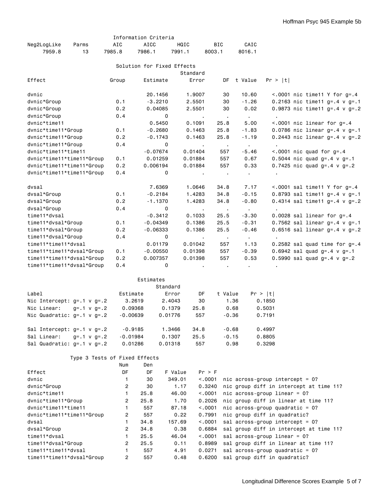|                                  |                               |                | Information Criteria |                            |                  |         |                       |                 |                                      |                                         |  |
|----------------------------------|-------------------------------|----------------|----------------------|----------------------------|------------------|---------|-----------------------|-----------------|--------------------------------------|-----------------------------------------|--|
| Neg2LogLike                      | Parms                         | AIC            | AICC                 | HQIC                       |                  | BIC     |                       | CAIC            |                                      |                                         |  |
| 7959.8                           | 13                            | 7985.8         | 7986.1               | 7991.1                     |                  | 8003.1  |                       | 8016.1          |                                      |                                         |  |
|                                  |                               |                |                      |                            |                  |         |                       |                 |                                      |                                         |  |
|                                  |                               |                |                      | Solution for Fixed Effects | Standard         |         |                       |                 |                                      |                                         |  |
| Effect                           |                               | Group          | Estimate             |                            | Error            |         | DF                    | t Value         | Pr >  t                              |                                         |  |
| dvnic                            |                               |                |                      | 20.1456                    | 1.9007           |         | 30                    | 10.60           |                                      | $< .0001$ nic time11 Y for g=.4         |  |
| dvnic*Group                      |                               | 0.1            |                      | $-3,2210$                  | 2.5501           |         | 30                    | $-1.26$         |                                      | 0.2163 nic time11 $g = .4$ v $g = .1$   |  |
| dvnic*Group                      |                               | 0.2            |                      | 0.04085                    | 2.5501           |         | 30                    | 0.02            |                                      | 0.9873 nic time11 g=.4 $v$ g=.2         |  |
| dvnic*Group                      |                               | 0.4            |                      | 0                          | $\sim$           |         | $\sim$ 100            | $\sim 10^{-11}$ | $\bullet$                            |                                         |  |
| dvnic*time11                     |                               |                |                      | 0.5450                     | 0.1091           |         | 25.8                  | 5.00            |                                      | $\leq$ .0001 nic linear for g=.4        |  |
| dvnic*time11*Group               |                               | 0.1            |                      | $-0.2680$                  | 0.1463           |         | 25.8                  | $-1.83$         |                                      | 0.0786 nic linear $g = .4$ v $g = .1$   |  |
| dvnic*time11*Group               |                               | 0.2            |                      | $-0.1743$                  | 0.1463           |         | 25.8                  | $-1.19$         |                                      | 0.2443 nic linear $g = .4$ v $g = .2$   |  |
| dvnic*time11*Group               |                               | 0.4            |                      | 0                          | $\sim$ 100 $\pm$ |         | $\sim$ 100 $\pm$      | $\sim 100$      | $\mathbf{r}$                         |                                         |  |
| dvnic*time11*time11              |                               |                | $-0.07674$           |                            | 0.01404          |         | 557                   | $-5.46$         |                                      | $< .0001$ nic quad for $g = .4$         |  |
| dvnic*time11*time11*Group        |                               | 0.1            | 0.01259              |                            | 0.01884          |         | 557                   | 0.67            |                                      | $0.5044$ nic quad g=.4 v g=.1           |  |
| dvnic*time11*time11*Group        |                               | 0.2            | 0.006194             |                            | 0.01884          |         | 557                   | 0.33            |                                      | 0.7425 nic quad $g= .4$ v $g= .2$       |  |
| dvnic*time11*time11*Group        |                               | 0.4            |                      | 0                          | $\sim$           |         |                       | $\bullet$       |                                      |                                         |  |
| dvsal                            |                               |                |                      | 7.6369                     | 1.0646           |         | 34.8                  | 7.17            |                                      | $< .0001$ sal time11 Y for g=.4         |  |
| dvsal*Group                      |                               | 0.1            |                      | $-0.2184$                  | 1.4283           |         | 34.8                  | $-0.15$         |                                      | 0.8793 sal time11 $g = .4$ v $g = .1$   |  |
| dvsal*Group                      |                               | 0.2            |                      | $-1.1370$                  | 1.4283           |         | 34.8                  | $-0.80$         |                                      | 0.4314 sal time11 $q = .4$ v $q = .2$   |  |
| dvsal*Group                      |                               | 0.4            |                      | 0                          | $\sim 10$        |         | $\sim 100$ km $^{-1}$ | $\sim 100$      | $\epsilon$                           |                                         |  |
| time11*dvsal                     |                               |                |                      | $-0.3412$                  | 0.1033           |         | 25.5                  | $-3.30$         |                                      | $0.0028$ sal linear for $g = .4$        |  |
| time11*dvsal*Group               |                               | 0.1            | $-0.04349$           |                            | 0.1386           |         | 25.5                  | $-0.31$         |                                      | 0.7562 sal linear $g = .4$ v $g = .1$   |  |
| time11*dvsal*Group               |                               | 0.2            | $-0.06333$           |                            | 0.1386           |         | 25.5                  | $-0.46$         |                                      | $0.6516$ sal linear g=.4 v g=.2         |  |
| time11*dvsal*Group               |                               | 0.4            |                      | 0                          | $\sim$ 100 $\pm$ |         | $\sim$ 100 $\pm$      | $\sim 10^{-11}$ | $\sim$                               |                                         |  |
| time11*time11*dvsal              |                               |                |                      | 0.01179                    | 0.01042          |         | 557                   | 1.13            |                                      | $0.2582$ sal quad time for $g=.4$       |  |
| time11*time11*dvsal*Group        |                               | 0.1            | $-0.00550$           |                            | 0.01398          |         | 557                   | $-0.39$         |                                      | 0.6942 sal quad $g = .4$ v $g = .1$     |  |
| time11*time11*dvsal*Group        |                               | 0.2            | 0.007357             |                            | 0.01398          |         | 557                   | 0.53            |                                      | 0.5990 sal quad $g = .4$ v $g = .2$     |  |
| time11*time11*dvsal*Group        |                               | 0.4            |                      | 0                          |                  |         |                       | $\blacksquare$  | $\blacksquare$                       |                                         |  |
|                                  |                               |                | Estimates            |                            |                  |         |                       |                 |                                      |                                         |  |
|                                  |                               |                |                      | Standard                   |                  |         |                       |                 |                                      |                                         |  |
| Label                            |                               | Estimate       |                      | Error                      | DF               |         | t Value               |                 | Pr >  t                              |                                         |  |
| Nic Intercept: $g=.1$ v $g=.2$   |                               |                | 3.2619               | 2.4043                     | 30               |         | 1.36                  |                 | 0.1850                               |                                         |  |
| Nic Linear:                      | $q = .1$ v $q = .2$           | 0.09368        |                      | 0.1379                     | 25.8             |         | 0.68                  |                 | 0.5031                               |                                         |  |
| Nic Quadratic: $q=.1$ v $q=.2$   |                               | $-0.00639$     |                      | 0.01776                    | 557              |         | $-0.36$               |                 | 0.7191                               |                                         |  |
| Sal Intercept: $g= .1$ v $g= .2$ |                               | $-0.9185$      |                      | 1.3466                     | 34.8             |         | $-0.68$               |                 | 0.4997                               |                                         |  |
| Sal Linear:                      | $g = .1$ v $g = .2$           | $-0.01984$     |                      | 0.1307                     | 25.5             |         | $-0.15$               |                 | 0.8805                               |                                         |  |
| Sal Quadratic: $g=.1$ v $g=.2$   |                               | 0.01286        |                      | 0.01318                    | 557              |         | 0.98                  |                 | 0.3298                               |                                         |  |
|                                  | Type 3 Tests of Fixed Effects |                |                      |                            |                  |         |                       |                 |                                      |                                         |  |
|                                  |                               | Num            | Den                  |                            |                  |         |                       |                 |                                      |                                         |  |
| Effect                           |                               | DF             | DF                   | F Value                    |                  | Pr > F  |                       |                 |                                      |                                         |  |
| dvnic                            |                               | 1              | 30                   | 349.01                     |                  | < 0.001 |                       |                 | nic across-group intercept = $0?$    |                                         |  |
| dvnic*Group                      |                               | $\overline{c}$ | 30                   | 1.17                       |                  | 0.3240  |                       |                 |                                      | nic group diff in intercept at time 11? |  |
| dvnic*time11                     |                               | $\mathbf{1}$   | 25.8                 | 46.00                      |                  | < .0001 |                       |                 | nic across-group linear = $0?$       |                                         |  |
| dvnic*time11*Group               |                               | $\overline{2}$ | 25.8                 | 1.70                       |                  | 0.2026  |                       |                 | nic group diff in linear at time 11? |                                         |  |
| dvnic*time11*time11              |                               | $\mathbf{1}$   | 557                  | 87.18                      |                  | < .0001 |                       |                 | nic across-group quadratic = $0?$    |                                         |  |
| dvnic*time11*time11*Group        |                               | 2              | 557                  | 0.22                       |                  | 0.7991  |                       |                 | nic group diff in quadratic?         |                                         |  |
| dvsal                            |                               | $\mathbf{1}$   | 34.8                 | 157.69                     |                  | < .0001 |                       |                 | sal across-group intercept = $0?$    |                                         |  |
| dvsal*Group                      |                               | $\overline{2}$ | 34.8                 | 0.38                       |                  | 0.6884  |                       |                 |                                      | sal group diff in intercept at time 11? |  |
| time11*dvsal                     |                               | $\mathbf{1}$   | 25.5                 | 46.04                      |                  | < .0001 |                       |                 | sal across-group linear = $0?$       |                                         |  |
| time11*dvsal*Group               |                               | 2              | 25.5                 | 0.11                       |                  | 0.8989  |                       |                 | sal group diff in linear at time 11? |                                         |  |
| time11*time11*dvsal              |                               | $\mathbf{1}$   | 557                  | 4.91                       |                  | 0.0271  |                       |                 | sal across-group quadratic = $0?$    |                                         |  |
| time11*time11*dvsal*Group        |                               | $\overline{2}$ | 557                  | 0.48                       |                  | 0.6200  |                       |                 | sal group diff in quadratic?         |                                         |  |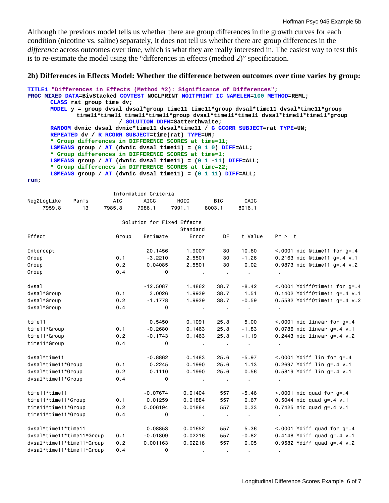Although the previous model tells us whether there are group differences in the growth curves for each condition (nicotine vs. saline) separately, it does not tell us whether there are group differences in the *difference* across outcomes over time, which is what they are really interested in. The easiest way to test this is to re-estimate the model using the "differences in effects (method 2)" specification.

#### **2b) Differences in Effects Model: Whether the difference between outcomes over time varies by group:**

```
TITLE1 "Differences in Effects (Method #2): Significance of Differences"; 
PROC MIXED DATA=BivStacked COVTEST NOCLPRINT NOITPRINT IC NAMELEN=100 METHOD=REML; 
      CLASS rat group time dv; 
      MODEL y = group dvsal dvsal*group time11 time11*group dvsal*time11 dvsal*time11*group 
               time11*time11 time11*time11*group dvsal*time11*time11 dvsal*time11*time11*group 
                            / SOLUTION DDFM=Satterthwaite; 
      RANDOM dvnic dvsal dvnic*time11 dvsal*time11 / G GCORR SUBJECT=rat TYPE=UN; 
      REPEATED dv / R RCORR SUBJECT=time(rat) TYPE=UN; 
       * Group differences in DIFFERENCE SCORES at time=11;
      LSMEANS group / AT (dvnic dvsal time11) = (0 1 0) DIFF=ALL; 
       * Group differences in DIFFERENCE SCORES at time=1;
      LSMEANS group / AT (dvnic dvsal time11) = (0 1 -11) DIFF=ALL; 
       * Group differences in DIFFERENCE SCORES at time=22;
      LSMEANS group / AT (dvnic dvsal time11) = (0 1 11) DIFF=ALL; 
run;
```

|                           |       |        | Information Criteria       |                  |                                |                |                                   |
|---------------------------|-------|--------|----------------------------|------------------|--------------------------------|----------------|-----------------------------------|
| Neg2LogLike               | Parms | AIC    | <b>AICC</b>                | HQIC             | <b>BIC</b>                     | CAIC           |                                   |
| 7959.8                    | 13    | 7985.8 | 7986.1                     | 7991.1           | 8003.1                         | 8016.1         |                                   |
|                           |       |        | Solution for Fixed Effects |                  |                                |                |                                   |
|                           |       |        |                            | Standard         |                                |                |                                   |
| Effect                    |       | Group  | Estimate                   | Error            | <b>DF</b>                      | t Value        | Pr >  t                           |
| Intercept                 |       |        | 20.1456                    | 1.9007           | 30                             | 10.60          | $< .0001$ nic @time11 for g=.4    |
| Group                     |       | 0.1    | $-3.2210$                  | 2.5501           | 30                             | $-1.26$        | 0.2163 nic @time11 g=.4 v.1       |
| Group                     |       | 0.2    | 0.04085                    | 2.5501           | 30                             | 0.02           | 0.9873 nic @time11 $q = .4$ v.2   |
| Group                     |       | 0.4    | 0                          |                  | $\mathbf{r}$<br>$\blacksquare$ | $\mathbf{r}$ . |                                   |
| dvsal                     |       |        | $-12.5087$                 | 1.4862           | 38.7                           | $-8.42$        | $< .0001$ Ydiff@time11 for g=.4   |
| dvsal*Group               |       | 0.1    | 3,0026                     | 1.9939           | 38.7                           | 1.51           | 0.1402 Ydiff@time11 $q = .4$ v.1  |
| dvsal*Group               |       | 0.2    | $-1.1778$                  | 1.9939           | 38.7                           | $-0.59$        | $0.5582$ Ydiff@time11 g=.4 v.2    |
| dvsal*Group               |       | 0.4    | $\mathbf 0$                | $\sim$ 100 $\pm$ | $\sim 100$                     | $\sim$         |                                   |
| time11                    |       |        | 0.5450                     | 0.1091           | 25.8                           | 5.00           | $< .0001$ nic linear for $g = .4$ |
| time11*Group              |       | 0.1    | $-0.2680$                  | 0.1463           | 25.8                           | $-1.83$        | $0.0786$ nic linear $g = .4$ v.1  |
| time11*Group              |       | 0.2    | $-0.1743$                  | 0.1463           | 25.8                           | $-1.19$        | 0.2443 nic linear $g = .4$ v.2    |
| time11*Group              |       | 0.4    | 0                          | $\sim$ 100 $\pm$ |                                | $\mathbf{r}$   | $\sim$                            |
| dvsal*time11              |       |        | $-0.8862$                  | 0.1483           | 25.6                           | $-5.97$        | $< .0001$ Ydiff lin for g=.4      |
| dvsal*time11*Group        |       | 0.1    | 0.2245                     | 0.1990           | 25.6                           | 1.13           | 0.2697 Ydiff lin $q = .4$ v.1     |
| dvsal*time11*Group        |       | 0.2    | 0.1110                     | 0.1990           | 25.6                           | 0.56           | 0.5819 Ydiff lin $q = .4$ v.1     |
| dvsal*time11*Group        |       | 0.4    | 0                          | $\sim 100$       |                                | $\sim$         |                                   |
| time11*time11             |       |        | $-0.07674$                 | 0.01404          | 557                            | $-5.46$        | $\leq$ .0001 nic quad for g=.4    |
| time11*time11*Group       |       | 0.1    | 0.01259                    | 0.01884          | 557                            | 0.67           | $0.5044$ nic quad g=.4 v.1        |
| time11*time11*Group       |       | 0.2    | 0.006194                   | 0.01884          | 557                            | 0.33           | 0.7425 nic quad $q = .4$ v.1      |
| time11*time11*Group       |       | 0.4    | 0                          |                  | $\sim$                         | $\sim$         | $\bullet$                         |
| dysal*time11*time11       |       |        | 0.08853                    | 0.01652          | 557                            | 5.36           | $< .0001$ Ydiff quad for $g = .4$ |
| dvsal*time11*time11*Group |       | 0.1    | $-0.01809$                 | 0.02216          | 557                            | $-0.82$        | 0.4148 Ydiff quad $g = .4$ v.1    |
| dvsal*time11*time11*Group |       | 0.2    | 0.001163                   | 0.02216          | 557                            | 0.05           | $0.9582$ Ydiff quad g=.4 v.2      |
| dvsal*time11*time11*Group |       | 0.4    | 0                          |                  |                                | $\bullet$      |                                   |